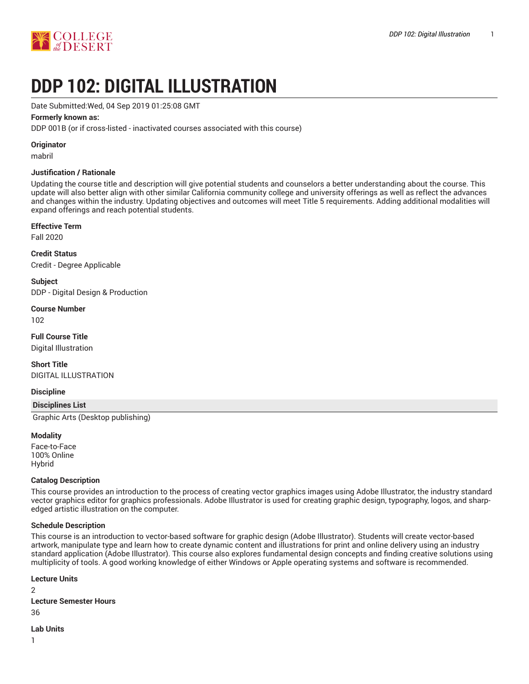

# **DDP 102: DIGITAL ILLUSTRATION**

Date Submitted:Wed, 04 Sep 2019 01:25:08 GMT

## **Formerly known as:**

DDP 001B (or if cross-listed - inactivated courses associated with this course)

### **Originator**

mabril

### **Justification / Rationale**

Updating the course title and description will give potential students and counselors a better understanding about the course. This update will also better align with other similar California community college and university offerings as well as reflect the advances and changes within the industry. Updating objectives and outcomes will meet Title 5 requirements. Adding additional modalities will expand offerings and reach potential students.

## **Effective Term**

Fall 2020

**Credit Status** Credit - Degree Applicable

**Subject** DDP - Digital Design & Production

## **Course Number**

102

# **Full Course Title**

Digital Illustration

### **Short Title** DIGITAL ILLUSTRATION

### **Discipline**

### **Disciplines List**

Graphic Arts (Desktop publishing)

## **Modality**

Face-to-Face 100% Online Hybrid

## **Catalog Description**

This course provides an introduction to the process of creating vector graphics images using Adobe Illustrator, the industry standard vector graphics editor for graphics professionals. Adobe Illustrator is used for creating graphic design, typography, logos, and sharpedged artistic illustration on the computer.

## **Schedule Description**

This course is an introduction to vector-based software for graphic design (Adobe Illustrator). Students will create vector-based artwork, manipulate type and learn how to create dynamic content and illustrations for print and online delivery using an industry standard application (Adobe Illustrator). This course also explores fundamental design concepts and finding creative solutions using multiplicity of tools. A good working knowledge of either Windows or Apple operating systems and software is recommended.

### **Lecture Units**

 $\mathfrak{D}$ **Lecture Semester Hours** 36

#### **Lab Units**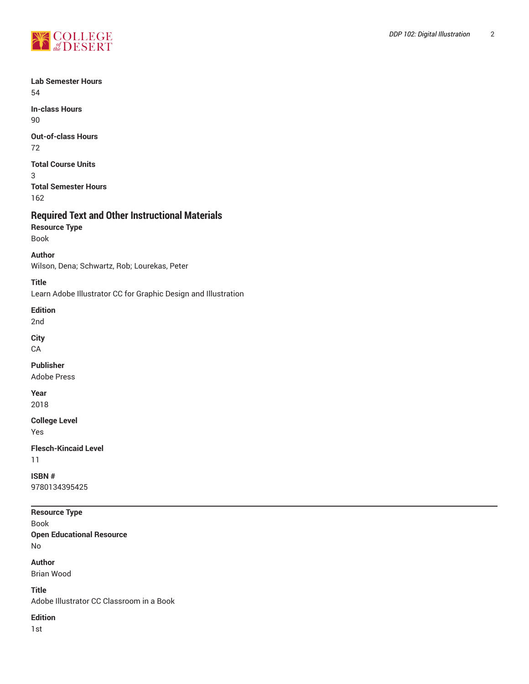

**Lab Semester Hours** 54

**In-class Hours** 90

**Out-of-class Hours** 72

**Total Course Units**

3 **Total Semester Hours** 162

## **Required Text and Other Instructional Materials**

**Resource Type**

Book **Author**

Wilson, Dena; Schwartz, Rob; Lourekas, Peter

**Title**

Learn Adobe Illustrator CC for Graphic Design and Illustration

**Edition**

2nd

**City**

**CA** 

**Publisher**

Adobe Press

**Year**

2018

**College Level**

Yes

**Flesch-Kincaid Level**

11

**ISBN #** 9780134395425

**Resource Type**

Book **Open Educational Resource** No

**Author** Brian Wood

**Title**

Adobe Illustrator CC Classroom in a Book

**Edition**

1st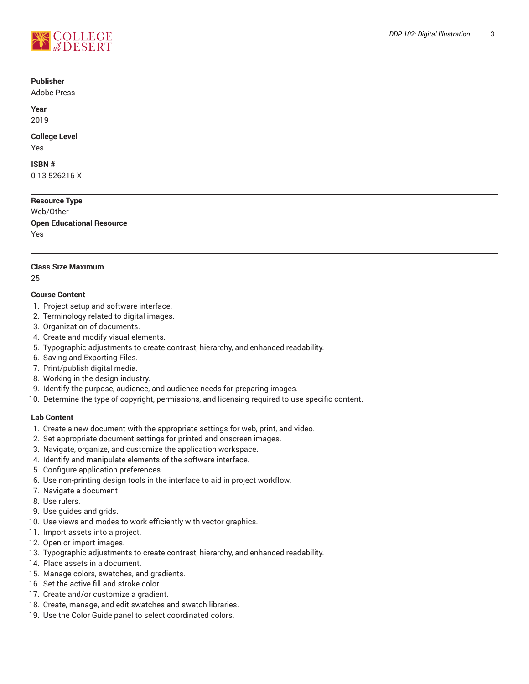

#### **Publisher**

Adobe Press

**Year** 2019

## **College Level**

Yes

## **ISBN #**

0-13-526216-X

**Resource Type** Web/Other **Open Educational Resource** Yes

## **Class Size Maximum**

25

## **Course Content**

- 1. Project setup and software interface.
- 2. Terminology related to digital images.
- 3. Organization of documents.
- 4. Create and modify visual elements.
- 5. Typographic adjustments to create contrast, hierarchy, and enhanced readability.
- 6. Saving and Exporting Files.
- 7. Print/publish digital media.
- 8. Working in the design industry.
- 9. Identify the purpose, audience, and audience needs for preparing images.
- 10. Determine the type of copyright, permissions, and licensing required to use specific content.

## **Lab Content**

- 1. Create a new document with the appropriate settings for web, print, and video.
- 2. Set appropriate document settings for printed and onscreen images.
- 3. Navigate, organize, and customize the application workspace.
- 4. Identify and manipulate elements of the software interface.
- 5. Configure application preferences.
- 6. Use non-printing design tools in the interface to aid in project workflow.
- 7. Navigate a document
- 8. Use rulers.
- 9. Use guides and grids.
- 10. Use views and modes to work efficiently with vector graphics.
- 11. Import assets into a project.
- 12. Open or import images.
- 13. Typographic adjustments to create contrast, hierarchy, and enhanced readability.
- 14. Place assets in a document.
- 15. Manage colors, swatches, and gradients.
- 16. Set the active fill and stroke color.
- 17. Create and/or customize a gradient.
- 18. Create, manage, and edit swatches and swatch libraries.
- 19. Use the Color Guide panel to select coordinated colors.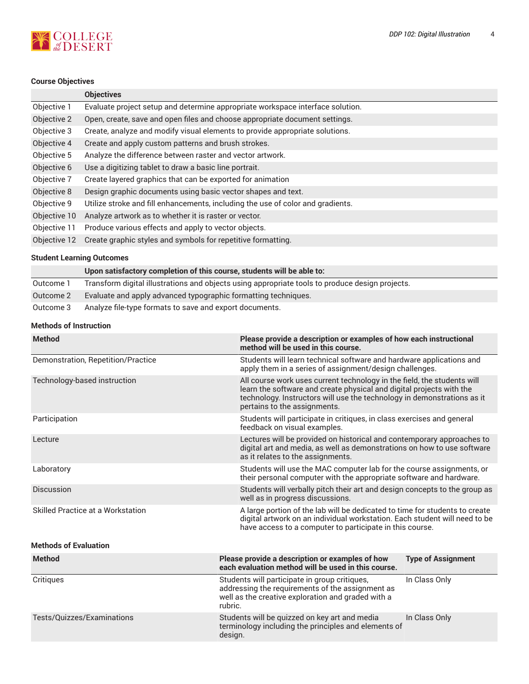# **NOOLLEGE**

## **Course Objectives**

|              | <b>Objectives</b>                                                               |
|--------------|---------------------------------------------------------------------------------|
| Objective 1  | Evaluate project setup and determine appropriate workspace interface solution.  |
| Objective 2  | Open, create, save and open files and choose appropriate document settings.     |
| Objective 3  | Create, analyze and modify visual elements to provide appropriate solutions.    |
| Objective 4  | Create and apply custom patterns and brush strokes.                             |
| Objective 5  | Analyze the difference between raster and vector artwork.                       |
| Objective 6  | Use a digitizing tablet to draw a basic line portrait.                          |
| Objective 7  | Create layered graphics that can be exported for animation                      |
| Objective 8  | Design graphic documents using basic vector shapes and text.                    |
| Objective 9  | Utilize stroke and fill enhancements, including the use of color and gradients. |
| Objective 10 | Analyze artwork as to whether it is raster or vector.                           |
| Objective 11 | Produce various effects and apply to vector objects.                            |
| Objective 12 | Create graphic styles and symbols for repetitive formatting.                    |
|              |                                                                                 |

## **Student Learning Outcomes**

|           | Upon satisfactory completion of this course, students will be able to:                          |
|-----------|-------------------------------------------------------------------------------------------------|
| Outcome 1 | Transform digital illustrations and objects using appropriate tools to produce design projects. |
| Outcome 2 | Evaluate and apply advanced typographic formatting techniques.                                  |
| Outcome 3 | Analyze file-type formats to save and export documents.                                         |

## **Methods of Instruction**

| <b>Method</b>                                                                                                                                              | Please provide a description or examples of how each instructional<br>method will be used in this course.                                                                                                                                                  |                           |  |
|------------------------------------------------------------------------------------------------------------------------------------------------------------|------------------------------------------------------------------------------------------------------------------------------------------------------------------------------------------------------------------------------------------------------------|---------------------------|--|
| Demonstration, Repetition/Practice                                                                                                                         | Students will learn technical software and hardware applications and<br>apply them in a series of assignment/design challenges.                                                                                                                            |                           |  |
| Technology-based instruction                                                                                                                               | All course work uses current technology in the field, the students will<br>learn the software and create physical and digital projects with the<br>technology. Instructors will use the technology in demonstrations as it<br>pertains to the assignments. |                           |  |
| Participation                                                                                                                                              | Students will participate in critiques, in class exercises and general<br>feedback on visual examples.                                                                                                                                                     |                           |  |
| Lecture                                                                                                                                                    | Lectures will be provided on historical and contemporary approaches to<br>digital art and media, as well as demonstrations on how to use software<br>as it relates to the assignments.                                                                     |                           |  |
| Students will use the MAC computer lab for the course assignments, or<br>Laboratory<br>their personal computer with the appropriate software and hardware. |                                                                                                                                                                                                                                                            |                           |  |
| Discussion                                                                                                                                                 | Students will verbally pitch their art and design concepts to the group as<br>well as in progress discussions.                                                                                                                                             |                           |  |
| Skilled Practice at a Workstation                                                                                                                          | A large portion of the lab will be dedicated to time for students to create<br>digital artwork on an individual workstation. Each student will need to be<br>have access to a computer to participate in this course.                                      |                           |  |
| <b>Methods of Evaluation</b>                                                                                                                               |                                                                                                                                                                                                                                                            |                           |  |
| <b>Method</b>                                                                                                                                              | Please provide a description or examples of how<br>each evaluation method will be used in this course.                                                                                                                                                     | <b>Type of Assignment</b> |  |
| Critiques                                                                                                                                                  | Students will participate in group critiques,<br>addressing the requirements of the assignment as<br>well as the creative exploration and graded with a<br>rubric.                                                                                         | In Class Only             |  |
| Tests/Quizzes/Examinations                                                                                                                                 | Students will be quizzed on key art and media<br>terminology including the principles and elements of<br>design.                                                                                                                                           | In Class Only             |  |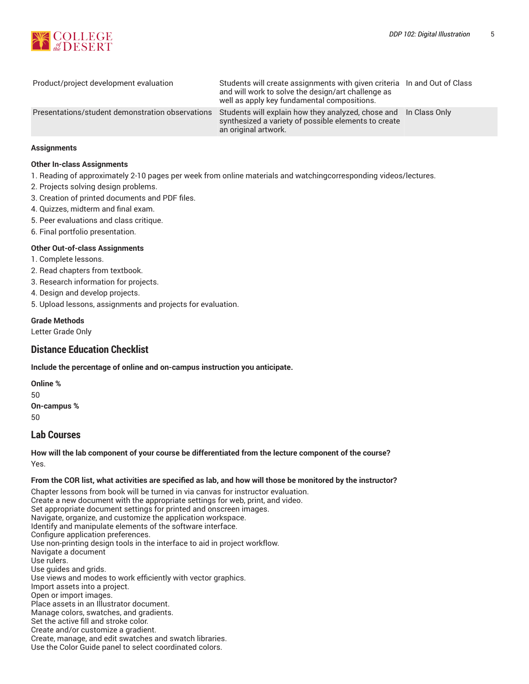

| Product/project development evaluation           | Students will create assignments with given criteria In and Out of Class<br>and will work to solve the design/art challenge as<br>well as apply key fundamental compositions. |  |
|--------------------------------------------------|-------------------------------------------------------------------------------------------------------------------------------------------------------------------------------|--|
| Presentations/student demonstration observations | Students will explain how they analyzed, chose and In Class Only<br>synthesized a variety of possible elements to create<br>an original artwork.                              |  |

### **Assignments**

#### **Other In-class Assignments**

- 1. Reading of approximately 2-10 pages per week from online materials and watchingcorresponding videos/lectures.
- 2. Projects solving design problems.
- 3. Creation of printed documents and PDF files.
- 4. Quizzes, midterm and final exam.
- 5. Peer evaluations and class critique.
- 6. Final portfolio presentation.

#### **Other Out-of-class Assignments**

- 1. Complete lessons.
- 2. Read chapters from textbook.
- 3. Research information for projects.
- 4. Design and develop projects.
- 5. Upload lessons, assignments and projects for evaluation.

#### **Grade Methods**

Letter Grade Only

## **Distance Education Checklist**

**Include the percentage of online and on-campus instruction you anticipate.**

**Online %** 50 **On-campus %** 50

## **Lab Courses**

## **How will the lab component of your course be differentiated from the lecture component of the course?** Yes.

#### From the COR list, what activities are specified as lab, and how will those be monitored by the instructor?

Chapter lessons from book will be turned in via canvas for instructor evaluation. Create a new document with the appropriate settings for web, print, and video. Set appropriate document settings for printed and onscreen images. Navigate, organize, and customize the application workspace. Identify and manipulate elements of the software interface. Configure application preferences. Use non-printing design tools in the interface to aid in project workflow. Navigate a document Use rulers. Use guides and grids. Use views and modes to work efficiently with vector graphics. Import assets into a project. Open or import images. Place assets in an Illustrator document. Manage colors, swatches, and gradients. Set the active fill and stroke color. Create and/or customize a gradient. Create, manage, and edit swatches and swatch libraries. Use the Color Guide panel to select coordinated colors.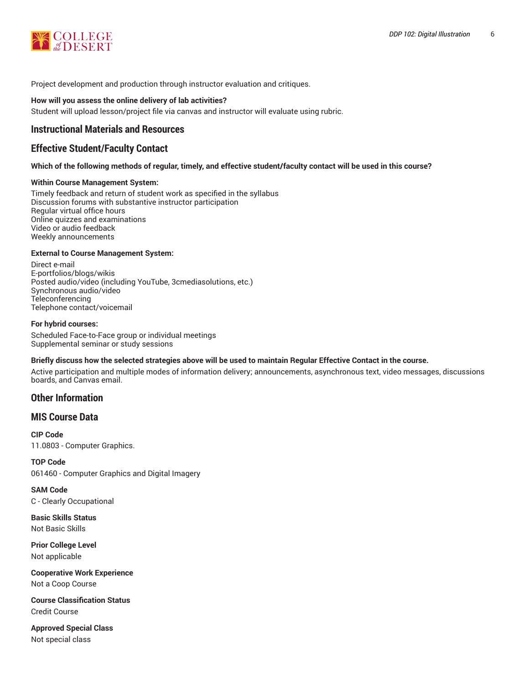

Project development and production through instructor evaluation and critiques.

#### **How will you assess the online delivery of lab activities?**

Student will upload lesson/project file via canvas and instructor will evaluate using rubric.

## **Instructional Materials and Resources**

## **Effective Student/Faculty Contact**

#### Which of the following methods of regular, timely, and effective student/faculty contact will be used in this course?

#### **Within Course Management System:**

Timely feedback and return of student work as specified in the syllabus Discussion forums with substantive instructor participation Regular virtual office hours Online quizzes and examinations Video or audio feedback Weekly announcements

#### **External to Course Management System:**

Direct e-mail E-portfolios/blogs/wikis Posted audio/video (including YouTube, 3cmediasolutions, etc.) Synchronous audio/video **Teleconferencing** Telephone contact/voicemail

#### **For hybrid courses:**

Scheduled Face-to-Face group or individual meetings Supplemental seminar or study sessions

### Briefly discuss how the selected strategies above will be used to maintain Regular Effective Contact in the course.

Active participation and multiple modes of information delivery; announcements, asynchronous text, video messages, discussions boards, and Canvas email.

## **Other Information**

## **MIS Course Data**

**CIP Code** 11.0803 - Computer Graphics.

**TOP Code** 061460 - Computer Graphics and Digital Imagery

**SAM Code** C - Clearly Occupational

**Basic Skills Status** Not Basic Skills

**Prior College Level** Not applicable

**Cooperative Work Experience** Not a Coop Course

**Course Classification Status** Credit Course

**Approved Special Class** Not special class